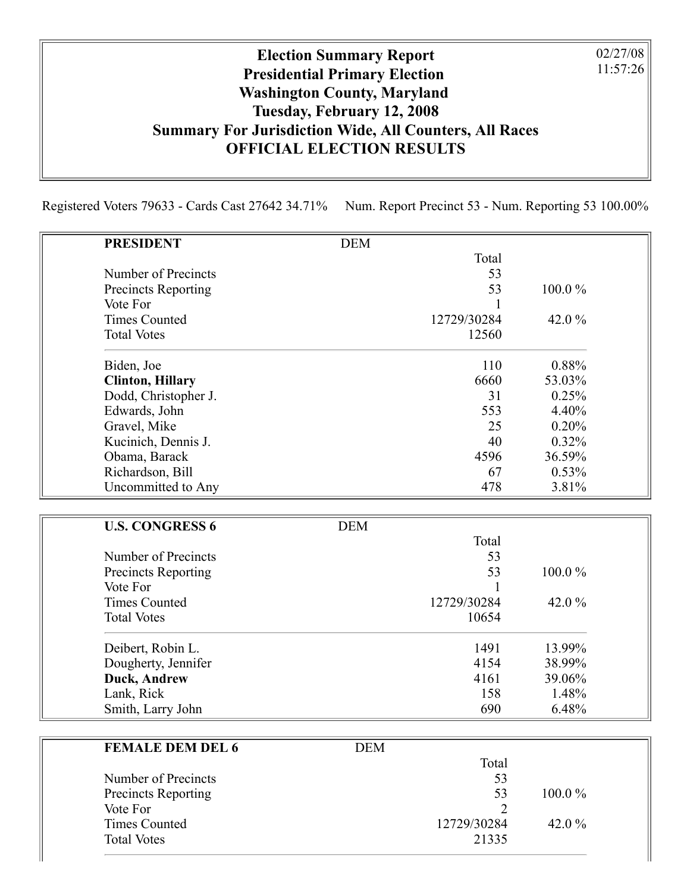## Election Summary Report Presidential Primary Election Washington County, Maryland Tuesday, February 12, 2008 Summary For Jurisdiction Wide, All Counters, All Races OFFICIAL ELECTION RESULTS

Registered Voters 79633 - Cards Cast 27642 34.71% Num. Report Precinct 53 - Num. Reporting 53 100.00%

|                                        | 100.0%                                                                                                |
|----------------------------------------|-------------------------------------------------------------------------------------------------------|
| 1                                      |                                                                                                       |
| 12729/30284                            | 42.0%                                                                                                 |
| 12560                                  |                                                                                                       |
| 110                                    | 0.88%                                                                                                 |
| 6660                                   | 53.03%                                                                                                |
| 31                                     | 0.25%                                                                                                 |
| 553                                    | 4.40%                                                                                                 |
| 25                                     | 0.20%                                                                                                 |
|                                        | 0.32%                                                                                                 |
| 4596                                   | 36.59%                                                                                                |
|                                        | 0.53%                                                                                                 |
|                                        | 3.81%                                                                                                 |
|                                        |                                                                                                       |
|                                        |                                                                                                       |
|                                        |                                                                                                       |
|                                        |                                                                                                       |
|                                        | 100.0%                                                                                                |
|                                        |                                                                                                       |
|                                        | 42.0%                                                                                                 |
|                                        |                                                                                                       |
| 1491                                   | 13.99%                                                                                                |
| 4154                                   | 38.99%                                                                                                |
| 4161                                   | 39.06%                                                                                                |
| 158                                    | 1.48%                                                                                                 |
| 690                                    | 6.48%                                                                                                 |
|                                        |                                                                                                       |
|                                        |                                                                                                       |
|                                        |                                                                                                       |
|                                        |                                                                                                       |
| 53                                     | 100.0%                                                                                                |
| <b>DEM</b><br><b>DEM</b><br><b>DEM</b> | Total<br>53<br>53<br>40<br>67<br>478<br>Total<br>53<br>53<br>1<br>12729/30284<br>10654<br>Total<br>53 |

Times Counted 12729/30284 42.0 %

Total Votes 21335

02/27/08 11:57:26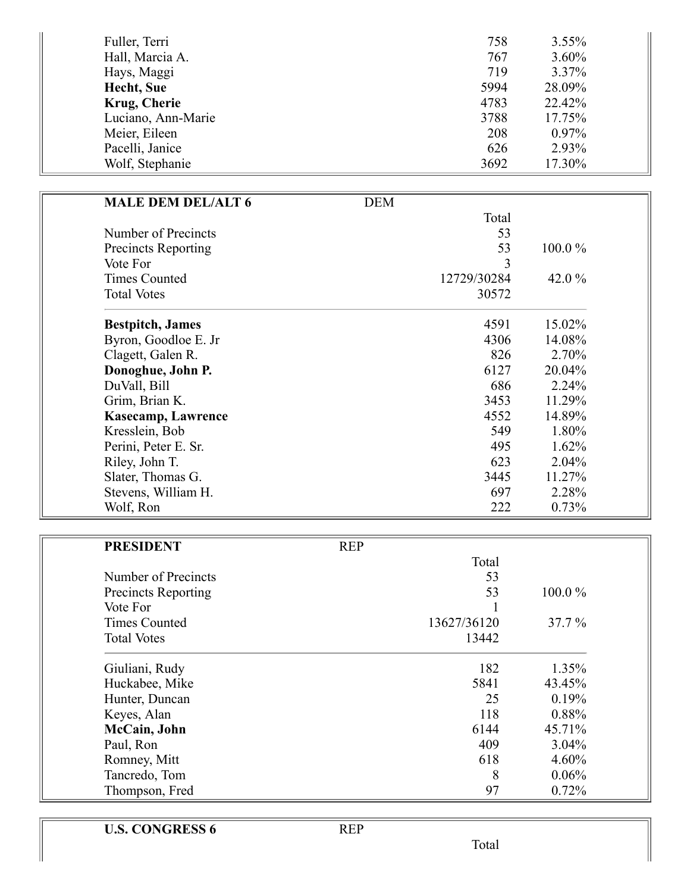| Fuller, Terri      | 758  | $3.55\%$ |
|--------------------|------|----------|
| Hall, Marcia A.    | 767  | $3.60\%$ |
| Hays, Maggi        | 719  | $3.37\%$ |
| Hecht, Sue         | 5994 | 28.09%   |
| Krug, Cherie       | 4783 | 22.42%   |
| Luciano, Ann-Marie | 3788 | 17.75%   |
| Meier, Eileen      | 208  | $0.97\%$ |
| Pacelli, Janice    | 626  | 2.93%    |
| Wolf, Stephanie    | 3692 | 17.30%   |

| <b>MALE DEM DEL/ALT 6</b>  | <b>DEM</b>  |           |
|----------------------------|-------------|-----------|
|                            | Total       |           |
| Number of Precincts        | 53          |           |
| <b>Precincts Reporting</b> | 53          | $100.0\%$ |
| Vote For                   | 3           |           |
| <b>Times Counted</b>       | 12729/30284 | 42.0 $\%$ |
| <b>Total Votes</b>         | 30572       |           |
| <b>Bestpitch</b> , James   | 4591        | 15.02%    |
| Byron, Goodloe E. Jr       | 4306        | 14.08%    |
| Clagett, Galen R.          | 826         | 2.70%     |
| Donoghue, John P.          | 6127        | 20.04%    |
| DuVall, Bill               | 686         | 2.24%     |
| Grim, Brian K.             | 3453        | 11.29%    |
| <b>Kasecamp, Lawrence</b>  | 4552        | 14.89%    |
| Kresslein, Bob             | 549         | 1.80%     |
| Perini, Peter E. Sr.       | 495         | 1.62%     |
| Riley, John T.             | 623         | 2.04%     |
| Slater, Thomas G.          | 3445        | 11.27%    |
| Stevens, William H.        | 697         | 2.28%     |
| Wolf, Ron                  | 222         | 0.73%     |

| <b>PRESIDENT</b>           | <b>REP</b> |             |           |  |
|----------------------------|------------|-------------|-----------|--|
|                            |            | Total       |           |  |
| Number of Precincts        |            | 53          |           |  |
| <b>Precincts Reporting</b> |            | 53          | $100.0\%$ |  |
| Vote For                   |            |             |           |  |
| <b>Times Counted</b>       |            | 13627/36120 | $37.7\%$  |  |
| <b>Total Votes</b>         |            | 13442       |           |  |
| Giuliani, Rudy             |            | 182         | 1.35%     |  |
| Huckabee, Mike             |            | 5841        | 43.45%    |  |
| Hunter, Duncan             |            | 25          | 0.19%     |  |
| Keyes, Alan                |            | 118         | 0.88%     |  |
| McCain, John               |            | 6144        | 45.71%    |  |
| Paul, Ron                  |            | 409         | 3.04%     |  |
| Romney, Mitt               |            | 618         | 4.60%     |  |
| Tancredo, Tom              |            | 8           | 0.06%     |  |
| Thompson, Fred             |            | 97          | 0.72%     |  |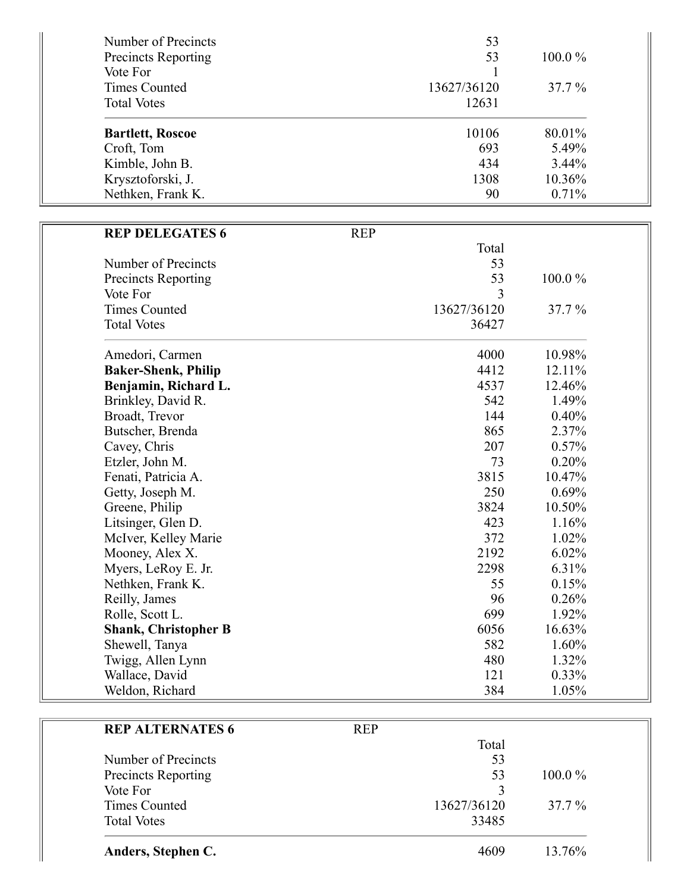| Number of Precincts                    |            | 53          |        |
|----------------------------------------|------------|-------------|--------|
| <b>Precincts Reporting</b>             |            | 53          | 100.0% |
| Vote For                               |            | 1           |        |
| <b>Times Counted</b>                   |            | 13627/36120 | 37.7 % |
| <b>Total Votes</b>                     |            | 12631       |        |
| <b>Bartlett, Roscoe</b>                |            | 10106       | 80.01% |
| Croft, Tom                             |            | 693         | 5.49%  |
| Kimble, John B.                        |            | 434         | 3.44%  |
| Krysztoforski, J.                      |            | 1308        | 10.36% |
| Nethken, Frank K.                      |            | 90          | 0.71%  |
|                                        |            |             |        |
| <b>REP DELEGATES 6</b>                 | <b>REP</b> | Total       |        |
| Number of Precincts                    |            | 53          |        |
|                                        |            | 53          | 100.0% |
| <b>Precincts Reporting</b><br>Vote For |            | 3           |        |
| <b>Times Counted</b>                   |            | 13627/36120 | 37.7%  |
| <b>Total Votes</b>                     |            | 36427       |        |
|                                        |            |             |        |
| Amedori, Carmen                        |            | 4000        | 10.98% |
| <b>Baker-Shenk, Philip</b>             |            | 4412        | 12.11% |
| Benjamin, Richard L.                   |            | 4537        | 12.46% |
| Brinkley, David R.                     |            | 542         | 1.49%  |
| Broadt, Trevor                         |            | 144         | 0.40%  |
| Butscher, Brenda                       |            | 865         | 2.37%  |
| Cavey, Chris                           |            | 207         | 0.57%  |
| Etzler, John M.                        |            | 73          | 0.20%  |
| Fenati, Patricia A.                    |            | 3815        | 10.47% |
| Getty, Joseph M.                       |            | 250         | 0.69%  |
| Greene, Philip                         |            | 3824        | 10.50% |
| Litsinger, Glen D.                     |            | 423         | 1.16%  |
| McIver, Kelley Marie                   |            | 372         | 1.02%  |
| Mooney, Alex X.                        |            | 2192        | 6.02%  |
| Myers, LeRoy E. Jr.                    |            | 2298        | 6.31%  |
| Nethken, Frank K.                      |            | 55          | 0.15%  |
| Reilly, James                          |            | 96          | 0.26%  |
| Rolle, Scott L.                        |            | 699         | 1.92%  |
| <b>Shank, Christopher B</b>            |            | 6056        | 16.63% |
| Shewell, Tanya                         |            | 582         | 1.60%  |

| <b>REP ALTERNATES 6</b>    | <b>REP</b> |             |           |
|----------------------------|------------|-------------|-----------|
|                            |            | Total       |           |
| Number of Precincts        |            | 53          |           |
| <b>Precincts Reporting</b> |            | 53          | $100.0\%$ |
| Vote For                   |            | 3           |           |
| <b>Times Counted</b>       |            | 13627/36120 | $37.7\%$  |
| <b>Total Votes</b>         |            | 33485       |           |
| Anders, Stephen C.         |            | 4609        | 13.76%    |

4 8 0

1 2 1

3 8 4

1.3 2 %

0.3 3 %

1.0 5 %

Twigg, Allen Lynn

Wallace, David

Weldon, Richard